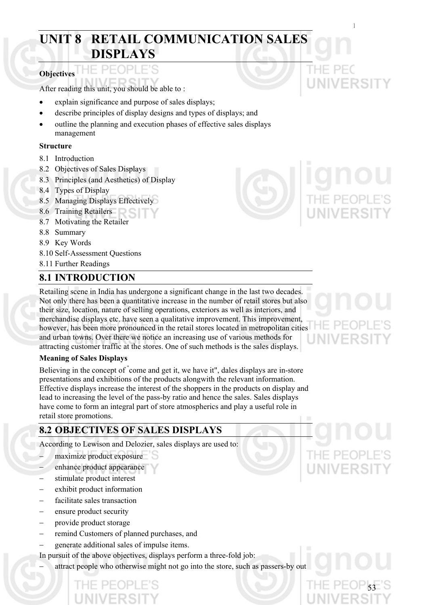# **UNIT 8 RETAIL COMMUNICATION SALES DISPLAYS**

#### **Objectives**

After reading this unit, you should be able to :

- explain significance and purpose of sales displays;
- describe principles of display designs and types of displays; and
- outline the planning and execution phases of effective sales displays management

#### **Structure**

- 8.1 Introduction
- 8.2 Objectives of Sales Displays
- 8.3 Principles (and Aesthetics) of Display
- 8.4 Types of Display
- 8.5 Managing Displays Effectively
- 8.6 Training Retailers
- 8.7 Motivating the Retailer
- 8.8 Summary
- 8.9 Key Words
- 8.10 Self-Assessment Questions
- 8.11 Further Readings

# **8.1 INTRODUCTION**

Retailing scene in India has undergone a significant change in the last two decades. Not only there has been a quantitative increase in the number of retail stores but also their size, location, nature of selling operations, exteriors as well as interiors, and merchandise displays etc. have seen a qualitative improvement. This improvement, however, has been more pronounced in the retail stores located in metropolitan cities and urban towns. Over there we notice an increasing use of various methods for attracting customer traffic at the stores. One of such methods is the sales displays.

#### **Meaning of Sales Displays**

Believing in the concept of " come and get it, we have it", dales displays are in-store presentations and exhibitions of the products alongwith the relevant information. Effective displays increase the interest of the shoppers in the products on display and lead to increasing the level of the pass-by ratio and hence the sales. Sales displays have come to form an integral part of store atmospherics and play a useful role in retail store promotions.

# **8.2 OBJECTIVES OF SALES DISPLAYS**

According to Lewison and Delozier, sales displays are used to:

- maximize product exposure
- enhance product appearance
- stimulate product interest
- − exhibit product information
- facilitate sales transaction
- − ensure product security
- − provide product storage
- − remind Customers of planned purchases, and
- − generate additional sales of impulse items.
- In pursuit of the above objectives, displays perform a three-fold job:

attract people who otherwise might not go into the store, such as passers-by out

Retail Communication:

THE PE

**UNIVERSITY** 

# THE PE(

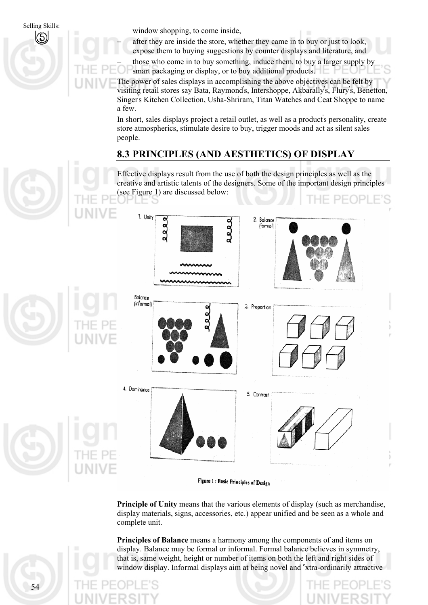Selling Skills: window shopping, to come inside,  $\begin{pmatrix} \zeta \\ \zeta \end{pmatrix}$ 

after they are inside the store, whether they came in to buy or just to look, expose them to buying suggestions by counter displays and literature, and

those who come in to buy something, induce them. to buy a larger supply by smart packaging or display, or to buy additional products.

The power of sales displays in accomplishing the above objectives can be felt by visiting retail stores say Bata, Raymond's, Intershoppe, Akbarally's, Flury's, Benetton, Singer' s Kitchen Collection, Usha-Shriram, Titan Watches and Ceat Shoppe to name a few.

In short, sales displays project a retail outlet, as well as a product's personality, create store atmospherics, stimulate desire to buy, trigger moods and act as silent sales people.

## **8.3 PRINCIPLES (AND AESTHETICS) OF DISPLAY**

Effective displays result from the use of both the design principles as well as the creative and artistic talents of the designers. Some of the important design principles (see Figure 1) are discussed below:



Figure 1: Basic Principles of Design

**Principle of Unity** means that the various elements of display (such as merchandise, display materials, signs, accessories, etc.) appear unified and be seen as a whole and complete unit.

**Principles of Balance** means a harmony among the components of and items on display. Balance may be formal or informal. Formal balance believes in symmetry, that is, same weight, height or number of items on both the left and right sides of window display. Informal displays aim at being novel and <sup>e</sup>xtra-ordinarily attractive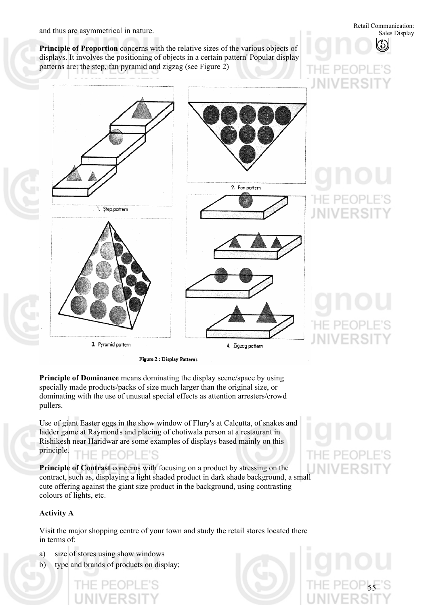$\vdash\vdash\mathsf{P}\mathsf{P}$  (

INIVERS

**Principle of Proportion** concerns with the relative sizes of the various objects of displays. It involves the positioning of objects in a certain pattern' Popular display patterns are: the step, fan pyramid and zigzag (see Figure 2)



Figure 2 : Display Patterns

**Principle of Dominance** means dominating the display scene/space by using specially made products/packs of size much larger than the original size, or dominating with the use of unusual special effects as attention arresters/crowd pullers.

Use of giant Easter eggs in the show window of Flury's at Calcutta, of snakes and ladder game at Raymond' s and placing of chotiwala person at a restaurant in Rishikesh near Haridwar are some examples of displays based mainly on this principle. PEOPLE'S

**Principle of Contrast** concerns with focusing on a product by stressing on the contract, such as, displaying a light shaded product in dark shade background, a small cute offering against the giant size product in the background, using contrasting colours of lights, etc.

#### **Activity A**

Visit the major shopping centre of your town and study the retail stores located there in terms of:

- a) size of stores using show windows
- b) type and brands of products on display;



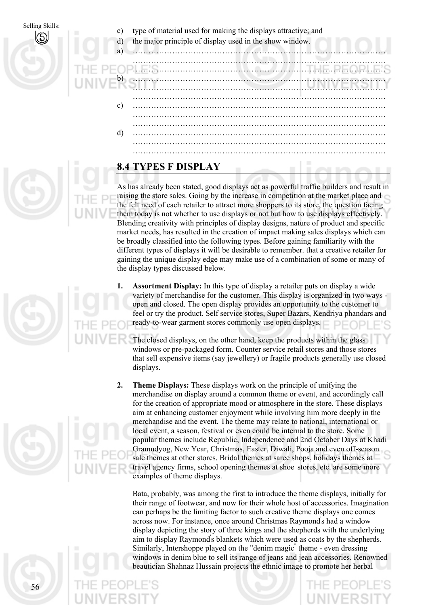Selling Skills:<br>  $\binom{c}{b}$ 

- type of material used for making the displays attractive; and
- d) the major principle of display used in the show window.

…………………………………………………………………………………… ……………………………………………………………………………………

b) c) d) …………………………………………………………………………………… …………………………………………………………………………………… …………………………………………………………………………………… …………………………………………………………………………………… …………………………………………………………………………………… …………………………………………………………………………………… …………………………………………………………………………………… …………………………………………………………………………………… …………………………………………………………………………………… ……………………………………………………………………………………

# **8.4 TYPES F DISPLAY**

a<sup>)</sup>

As has already been stated, good displays act as powerful traffic builders and result in raising the store sales. Going by the increase in competition at the market place and the felt need of each retailer to attract more shoppers to its store, the question facing them today is not whether to use displays or not but how to use displays effectively. Blending creativity with principles of display designs, nature of product and specific market needs, has resulted in the creation of impact making sales displays which can be broadly classified into the following types. Before gaining familiarity with the different types of displays it will be desirable to remember. that a creative retailer for gaining the unique display edge may make use of a combination of some or many of the display types discussed below.

- **1. Assortment Display:** In this type of display a retailer puts on display a wide variety of merchandise for the customer. This display is organized in two ways open and closed. The open display provides an opportunity to the customer to feel or try the product. Self service stores, Super Bazars, Kendriya phandars and ready-to-wear garment stores commonly use open displays.
	- The closed displays, on the other hand, keep the products within the glass windows or pre-packaged form. Counter service retail stores and those stores that sell expensive items (say jewellery) or fragile products generally use closed displays.
- **2. Theme Displays:** These displays work on the principle of unifying the merchandise on display around a common theme or event, and accordingly call for the creation of appropriate mood or atmosphere in the store. These displays aim at enhancing customer enjoyment while involving him more deeply in the merchandise and the event. The theme may relate to national, international or local event, a season, festival or even could be internal to the store. Some popular themes include Republic, Independence and 2nd October Days at Khadi Gramudyog, New Year, Christmas, Easter, Diwali, Pooja and even off-season sale themes at other stores. Bridal themes at saree shops, holidays themes at travel agency firms, school opening themes at shoe. stores, etc. are some more examples of theme displays.

Bata, probably, was among the first to introduce the theme displays, initially for their range of footwear, and now for their whole host of accessories. Imagination can perhaps be the limiting factor to such creative theme displays one comes across now. For instance, once around Christmas Raymond' s had a window display depicting the story of three kings and the shepherds with the underlying aim to display Raymond' s blankets which were used as coats by the shepherds. Similarly, Intershoppe played on the "denim magic" theme - even dressing windows in denim blue to sell its range of jeans and jean accessories. Renowned beautician Shahnaz Hussain projects the ethnic image to promote her herbal

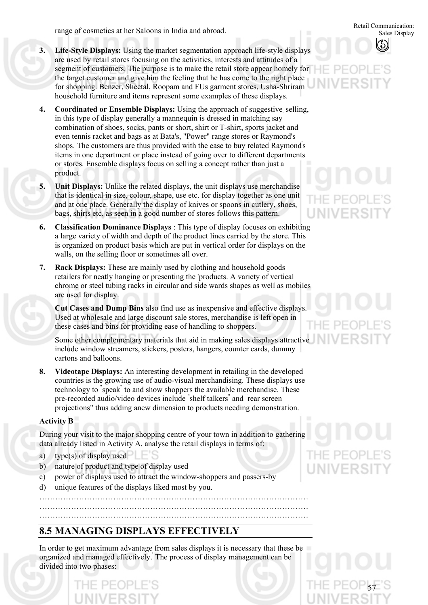range of cosmetics at her Saloons in India and abroad.

- **3. Life-Style Displays:** Using the market segmentation approach life-style displays are used by retail stores focusing on the activities, interests and attitudes of a segment of customers. The purpose is to make the retail store appear homely for the target customer and give him the feeling that he has come to the right place for shopping. Benzer, Sheetal, Roopam and FUs garment stores, Usha-Shriram household furniture and items represent some examples of these displays.
- **4. Coordinated or Ensemble Displays:** Using the approach of suggestive. selling, in this type of display generally a mannequin is dressed in matching say combination of shoes, socks, pants or short, shirt or T-shirt, sports jacket and even tennis racket and bags as at Bata's, "Power" range stores or Raymond's shops. The customers are thus provided with the ease to buy related Raymond's items in one department or place instead of going over to different departments or stores. Ensemble displays focus on selling a concept rather than just a product.
- **5. Unit Displays:** Unlike the related displays, the unit displays use merchandise that is identical in size, colour, shape, use etc. for display together as one unit and at one place. Generally the display of knives or spoons in cutlery, shoes, bags, shirts etc. as seen in a good number of stores follows this pattern.
- **6. Classification Dominance Displays** : This type of display focuses on exhibiting a large variety of width and depth of the product lines carried by the store. This is organized on product basis which are put in vertical order for displays on the walls, on the selling floor or sometimes all over.
- **7. Rack Displays:** These are mainly used by clothing and household goods retailers for neatly hanging or presenting the 'products. A variety of vertical chrome or steel tubing racks in circular and side wards shapes as well as mobiles are used for display.

**Cut Cases and Dump Bins** also find use as inexpensive and effective displays. Used at wholesale and large discount sale stores, merchandise is left open in these cases and bins for providing ease of handling to shoppers.

Some other complementary materials that aid in making sales displays attractive include window streamers, stickers, posters, hangers, counter cards, dummy cartons and balloons.

**8. Videotape Displays:** An interesting development in retailing in the developed countries is the growing use of audio-visual merchandising. These displays use technology to " speak" to and show shoppers the available merchandise. These pre-recorded audio/video devices include " shelf talkers" and " rear screen projections" thus adding anew dimension to products needing demonstration.

#### **Activity B**

During your visit to the major shopping centre of your town in addition to gathering data already listed in Activity A, analyse the retail displays in terms of:

………………………………………………………………………………………… ………………………………………………………………………………………… …………………………………………………………………………………………

- a) type(s) of display used
- b) nature of product and type of display used
- c) power of displays used to attract the window-shoppers and passers-by
- d) unique features of the displays liked most by you.

# **8.5 MANAGING DISPLAYS EFFECTIVELY**

In order to get maximum advantage from sales displays it is necessary that these be organized and managed effectively. ' The process of display management can be divided into two phases:



Retail Communication:

Sales Display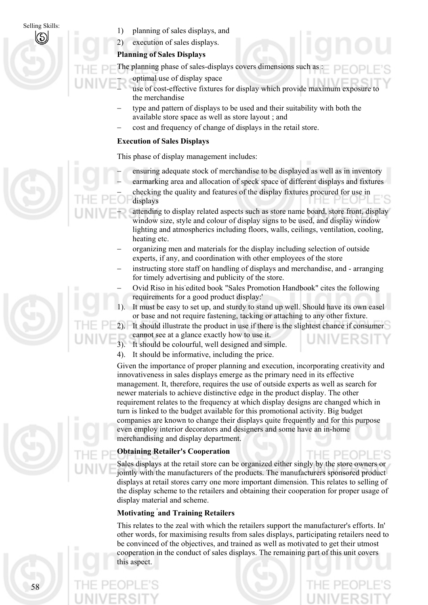58

Selling Skills:<br>1) planning of sales displays, and<br>1) planning of sales displays, and

2) execution of sales displays.

#### **Planning of Sales Displays**

The planning phase of sales-displays covers dimensions such as :

- − optimal use of display space
- use of cost-effective fixtures for display which provide maximum exposure to the merchandise
- type and pattern of displays to be used and their suitability with both the available store space as well as store layout ; and
- − cost and frequency of change of displays in the retail store.

#### **Execution of Sales Displays**

This phase of display management includes:

- ensuring adequate stock of merchandise to be displayed as well as in inventory
- earmarking area and allocation of speck space of different displays and fixtures − checking the quality and features of the display fixtures procured for use in

displays

- attending to display related aspects such as store name board, store front, display window size, style and colour of display signs to be used, and display window lighting and atmospherics including floors, walls, ceilings, ventilation, cooling, heating etc.
- − organizing men and materials for the display including selection of outside experts, if any, and coordination with other employees of the store
- − instructing store staff on handling of displays and merchandise, and arranging for timely advertising and publicity of the store.
- − Ovid Riso in his-edited book "Sales Promotion Handbook" cites the following requirements for a good product display:'
- 1). It must be easy to set up, and sturdy to stand up well. Should have its own easel or base and not require fastening, tacking or attaching to any other fixture.

2). It should illustrate the product in use if there is the slightest chance if consumer

cannot see at a glance exactly how to use it.

- 3). It should be colourful, well designed and simple.
- 4). It should be informative, including the price.

Given the importance of proper planning and execution, incorporating creativity and innovativeness in sales displays emerge as the primary need in its effective management. It, therefore, requires the use of outside experts as well as search for newer materials to achieve distinctive edge in the product display. The other requirement relates to the frequency at which display designs are changed which in turn is linked to the budget available for this promotional activity. Big budget companies are known to change their displays quite frequently and for this purpose even employ interior decorators and designers and some have an in-home merchandising and display department.

### **Obtaining Retailer's Cooperation**

Sales displays at the retail store can be organized either singly by the store owners or jointly with the manufacturers of the products. The manufacturers sponsored product displays at retail stores carry one more important dimension. This relates to selling of the display scheme to the retailers and obtaining their cooperation for proper usage of display material and scheme.

### **Motivating ' and Training Retailers**

This relates to the zeal with which the retailers support the manufacturer's efforts. In' other words, for maximising results from sales displays, participating retailers need to be convinced of the objectives, and trained as well as motivated to get their utmost cooperation in the conduct of sales displays. The remaining part of this unit covers this aspect.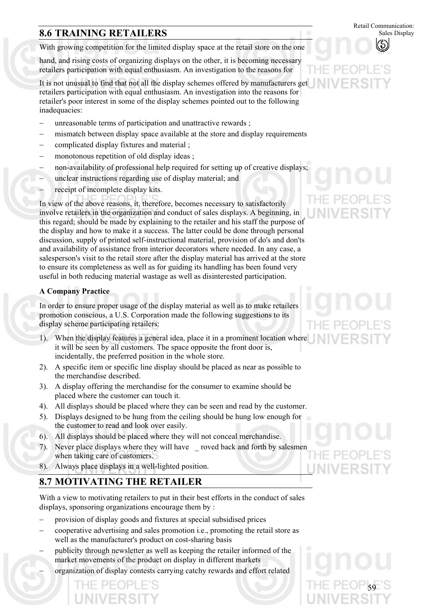# **8.6 TRAINING RETAILERS** Sales Display

With growing competition for the limited display space at the retail store on the one

hand, and rising costs of organizing displays on the other, it is becoming necessary retailers participation with equal enthusiasm. An investigation to the reasons for

It is not unusual to find that not all the display schemes offered by manufacturers get retailers participation with equal enthusiasm. An investigation into the reasons for retailer's poor interest in some of the display schemes pointed out to the following inadequacies:

- unreasonable terms of participation and unattractive rewards ;
- mismatch between display space available at the store and display requirements
- − complicated display fixtures and material ;
- monotonous repetition of old display ideas ;
- non-availability of professional help required for setting up of creative displays;
- unclear instructions regarding use of display material; and
- receipt of incomplete display kits.

In view of the above reasons, it, therefore, becomes necessary to satisfactorily involve retailers in the organization and conduct of sales displays. A beginning, in this regard; should be made by explaining to the retailer and his staff the purpose of' the display and how to make it a success. The latter could be done through personal discussion, supply of printed self-instructional material, provision of do's and don'ts and availability of assistance from interior decorators where needed. In any case, a salesperson's visit to the retail store after the display material has arrived at the store to ensure its completeness as well as for guiding its handling has been found very useful in both reducing material wastage as well as disinterested participation.

#### **A Company Practice**

In order to ensure proper usage of the display material as well as to make retailers promotion conscious, a U.S. Corporation made the following suggestions to its display scheme participating retailers:

- 1). When the display features a general idea, place it in a prominent location where it will be seen by all customers. The space opposite the front door is, incidentally, the preferred position in the whole store.
- 2). A specific item or specific line display should be placed as near as possible to the merchandise described.
- 3). A display offering the merchandise for the consumer to examine should be placed where the customer can touch it.
- 4). All displays should be placed where they can be seen and read by the customer.
- 5). Displays designed to be hung from the ceiling should be hung low enough for the customer to read and look over easily.
- 6). All displays should be placed where they will not conceal merchandise.
- 7). Never place displays where they will have \_ roved back and forth by salesmen when taking care of customers.
- 8). Always place displays in a well-lighted position.

# **8.7 MOTIVATING THE RETAILER**

With a view to motivating retailers to put in their best efforts in the conduct of sales displays, sponsoring organizations encourage them by :

- provision of display goods and fixtures at special subsidised prices
- − cooperative advertising and sales promotion i.e., promoting the retail store as well as the manufacturer's product on cost-sharing basis
- publicity through newsletter as well as keeping the retailer informed of the market movements of the product on display in different markets
- − organization of display contests carrying catchy rewards and effort related

# Retail Communication:

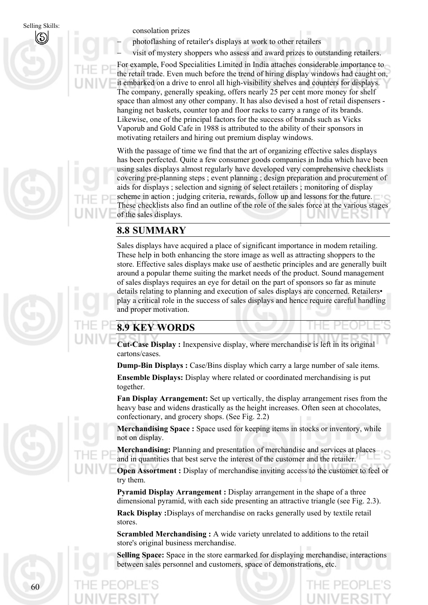Selling Skills: consolation prizes

photoflashing of retailer's displays at work to other retailers

visit of mystery shoppers who assess and award prizes to outstanding retailers.

For example, Food Specialities Limited in India attaches considerable importance to the retail trade. Even much before the trend of hiring display windows had caught on, it embarked on a drive to enrol all high-visibility shelves and counters for displays. The company, generally speaking, offers nearly 25 per cent more money for shelf space than almost any other company. It has also devised a host of retail dispensers hanging net baskets, counter top and floor racks to carry a range of its brands. Likewise, one of the principal factors for the success of brands such as Vicks Vaporub and Gold Cafe in 1988 is attributed to the ability of their sponsors in motivating retailers and hiring out premium display windows.

With the passage of time we find that the art of organizing effective sales displays has been perfected. Quite a few consumer goods companies in India which have been using sales displays almost regularly have developed very comprehensive checklists covering pre-planning steps ; event planning ; design preparation and procurement of aids for displays ; selection and signing of select retailers ; monitoring of display scheme in action ; judging criteria, rewards, follow up and lessons for the future. These checklists also find an outline of the role of the sales force at the various stages of the sales displays.

## **8.8 SUMMARY**

Sales displays have acquired a place of significant importance in modem retailing. These help in both enhancing the store image as well as attracting shoppers to the store. Effective sales displays make use of aesthetic principles and are generally built around a popular theme suiting the market needs of the product. Sound management of sales displays requires an eye for detail on the part of sponsors so far as minute details relating to planning and execution of sales displays are concerned. Retailers• play a critical role in the success of sales displays and hence require careful handling and proper motivation.

# **8.9 KEY WORDS**

**Cut-Case Display :** Inexpensive display, where merchandise is left in its original cartons/cases.

**Dump-Bin Displays :** Case/Bins display which carry a large number of sale items.

**Ensemble Displays:** Display where related or coordinated merchandising is put together.

**Fan Display Arrangement:** Set up vertically, the display arrangement rises from the heavy base and widens drastically as the height increases. Often seen at chocolates, confectionary, and grocery shops. (See Fig. 2.2)

**Merchandising Space :** Space used for keeping items in stocks or inventory, while not on display.

**Merchandising:** Planning and presentation of merchandise and services at places and in quantities that best serve the interest of the customer and the retailer.

**Open Assortment :** Display of merchandise inviting access to the customer to feel or try them.

**Pyramid Display Arrangement :** Display arrangement in the shape of a three dimensional pyramid, with each side presenting an attractive triangle (see Fig. 2.3).

**Rack Display :**Displays of merchandise on racks generally used by textile retail stores.

**Scrambled Merchandising :** A wide variety unrelated to additions to the retail store's original business merchandise.

**Selling Space:** Space in the store earmarked for displaying merchandise, interactions between sales personnel and customers, space of demonstrations, etc.